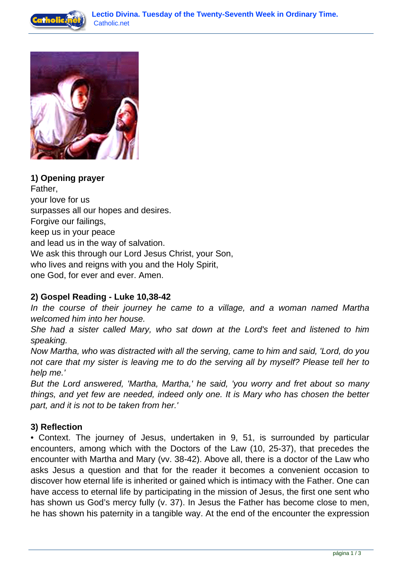



**1) Opening prayer** Father, your love for us surpasses all our hopes and desires. Forgive our failings, keep us in your peace and lead us in the way of salvation. We ask this through our Lord Jesus Christ, your Son, who lives and reigns with you and the Holy Spirit, one God, for ever and ever. Amen.

## **2) Gospel Reading - Luke 10,38-42**

In the course of their journey he came to a village, and a woman named Martha welcomed him into her house.

She had a sister called Mary, who sat down at the Lord's feet and listened to him speaking.

Now Martha, who was distracted with all the serving, came to him and said, 'Lord, do you not care that my sister is leaving me to do the serving all by myself? Please tell her to help me.'

But the Lord answered, 'Martha, Martha,' he said, 'you worry and fret about so many things, and yet few are needed, indeed only one. It is Mary who has chosen the better part, and it is not to be taken from her.'

## **3) Reflection**

• Context. The journey of Jesus, undertaken in 9, 51, is surrounded by particular encounters, among which with the Doctors of the Law (10, 25-37), that precedes the encounter with Martha and Mary (vv. 38-42). Above all, there is a doctor of the Law who asks Jesus a question and that for the reader it becomes a convenient occasion to discover how eternal life is inherited or gained which is intimacy with the Father. One can have access to eternal life by participating in the mission of Jesus, the first one sent who has shown us God's mercy fully (v. 37). In Jesus the Father has become close to men, he has shown his paternity in a tangible way. At the end of the encounter the expression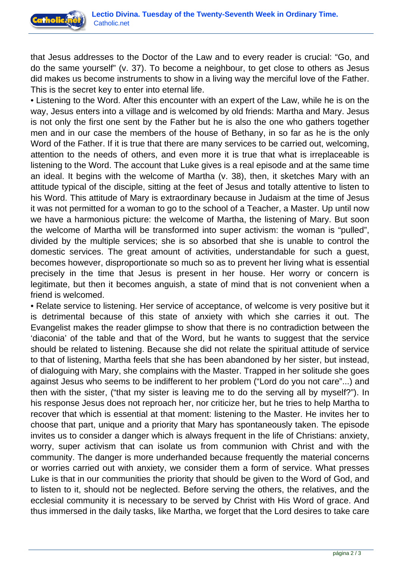

that Jesus addresses to the Doctor of the Law and to every reader is crucial: "Go, and do the same yourself" (v. 37). To become a neighbour, to get close to others as Jesus did makes us become instruments to show in a living way the merciful love of the Father. This is the secret key to enter into eternal life.

• Listening to the Word. After this encounter with an expert of the Law, while he is on the way, Jesus enters into a village and is welcomed by old friends: Martha and Mary. Jesus is not only the first one sent by the Father but he is also the one who gathers together men and in our case the members of the house of Bethany, in so far as he is the only Word of the Father. If it is true that there are many services to be carried out, welcoming, attention to the needs of others, and even more it is true that what is irreplaceable is listening to the Word. The account that Luke gives is a real episode and at the same time an ideal. It begins with the welcome of Martha (v. 38), then, it sketches Mary with an attitude typical of the disciple, sitting at the feet of Jesus and totally attentive to listen to his Word. This attitude of Mary is extraordinary because in Judaism at the time of Jesus it was not permitted for a woman to go to the school of a Teacher, a Master. Up until now we have a harmonious picture: the welcome of Martha, the listening of Mary. But soon the welcome of Martha will be transformed into super activism: the woman is "pulled", divided by the multiple services; she is so absorbed that she is unable to control the domestic services. The great amount of activities, understandable for such a guest, becomes however, disproportionate so much so as to prevent her living what is essential precisely in the time that Jesus is present in her house. Her worry or concern is legitimate, but then it becomes anguish, a state of mind that is not convenient when a friend is welcomed.

• Relate service to listening. Her service of acceptance, of welcome is very positive but it is detrimental because of this state of anxiety with which she carries it out. The Evangelist makes the reader glimpse to show that there is no contradiction between the 'diaconia' of the table and that of the Word, but he wants to suggest that the service should be related to listening. Because she did not relate the spiritual attitude of service to that of listening, Martha feels that she has been abandoned by her sister, but instead, of dialoguing with Mary, she complains with the Master. Trapped in her solitude she goes against Jesus who seems to be indifferent to her problem ("Lord do you not care"...) and then with the sister, ("that my sister is leaving me to do the serving all by myself?"). In his response Jesus does not reproach her, nor criticize her, but he tries to help Martha to recover that which is essential at that moment: listening to the Master. He invites her to choose that part, unique and a priority that Mary has spontaneously taken. The episode invites us to consider a danger which is always frequent in the life of Christians: anxiety, worry, super activism that can isolate us from communion with Christ and with the community. The danger is more underhanded because frequently the material concerns or worries carried out with anxiety, we consider them a form of service. What presses Luke is that in our communities the priority that should be given to the Word of God, and to listen to it, should not be neglected. Before serving the others, the relatives, and the ecclesial community it is necessary to be served by Christ with His Word of grace. And thus immersed in the daily tasks, like Martha, we forget that the Lord desires to take care